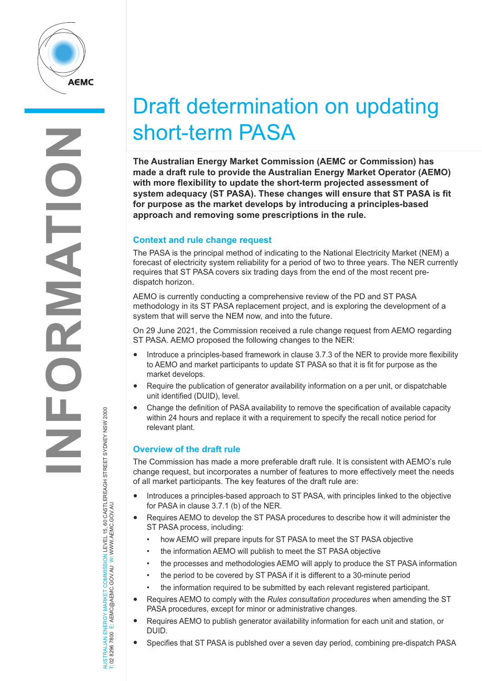

# Draft determination on updating short-term PASA

**The Australian Energy Market Commission (AEMC or Commission) has made a draft rule to provide the Australian Energy Market Operator (AEMO) with more flexibility to update the short-term projected assessment of system adequacy (ST PASA). These changes will ensure that ST PASA is fit for purpose as the market develops by introducing a principles-based approach and removing some prescriptions in the rule.** 

### **Context and rule change request**

The PASA is the principal method of indicating to the National Electricity Market (NEM) a forecast of electricity system reliability for a period of two to three years. The NER currently requires that ST PASA covers six trading days from the end of the most recent predispatch horizon.

AEMO is currently conducting a comprehensive review of the PD and ST PASA methodology in its ST PASA replacement project, and is exploring the development of a system that will serve the NEM now, and into the future.

On 29 June 2021, the Commission received a rule change request from AEMO regarding ST PASA. AEMO proposed the following changes to the NER:

- Introduce a principles-based framework in clause 3.7.3 of the NER to provide more flexibility to AEMO and market participants to update ST PASA so that it is fit for purpose as the market develops.
- Require the publication of generator availability information on a per unit, or dispatchable unit identified (DUID), level.
- Change the definition of PASA availability to remove the specification of available capacity within 24 hours and replace it with a requirement to specify the recall notice period for relevant plant.

## **Overview of the draft rule**

The Commission has made a more preferable draft rule. It is consistent with AEMO's rule change request, but incorporates a number of features to more effectively meet the needs of all market participants. The key features of the draft rule are:

- Introduces a principles-based approach to ST PASA, with principles linked to the objective for PASA in clause 3.7.1 (b) of the NER.
- Requires AEMO to develop the ST PASA procedures to describe how it will administer the ST PASA process, including:
	- how AEMO will prepare inputs for ST PASA to meet the ST PASA objective
	- the information AEMO will publish to meet the ST PASA objective
	- the processes and methodologies AEMO will apply to produce the ST PASA information
	- the period to be covered by ST PASA if it is different to a 30-minute period
	- the information required to be submitted by each relevant registered participant.
- Requires AEMO to comply with the *Rules consultation procedures* when amending the ST PASA procedures, except for minor or administrative changes.
- Requires AEMO to publish generator availability information for each unit and station, or DUID.
- Specifies that ST PASA is publshed over a seven day period, combining pre-dispatch PASA

JERGY MARKET COMMISSION LEVEL 15, 60 CASTLEREAGH STREET SYDNEY NSW 2000<br>E: AEMC@AEMC.GOV.AU W: WWW.AEMC.GOV.AU AUSTRALIAN ENERGY MARKET COMMISSION LEVEL 15, 60 CASTLEREAGH STREET SYDNEY NSW 2000 T: 02 8296 7800 E: AEMC@AEMC.GOV.AU W: WWW.AEMC.GOV.AU AUSTRALIAN ENERGY MARKET T: 02 8296 7800